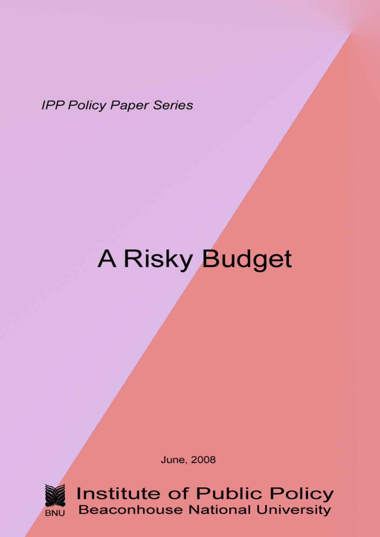**IPP Policy Paper Series** 

# A Risky Budget

**June, 2008** 



**Institute of Public Policy Beaconhouse National University**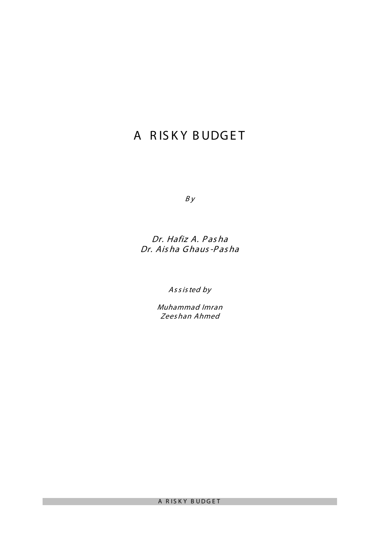# A RISKY BUDGET

 $By$ 

# Dr. Hafiz A. Pas ha Dr. Ais ha Ghaus-Pas ha

As <sup>s</sup> is ted by

Muhammad Imran Zees han Ahmed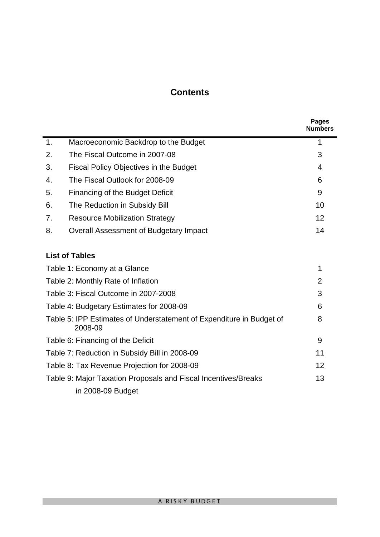# **Contents**

|    |                                                                                 | <b>Pages</b><br><b>Numbers</b> |
|----|---------------------------------------------------------------------------------|--------------------------------|
| 1. | Macroeconomic Backdrop to the Budget                                            | 1                              |
| 2. | The Fiscal Outcome in 2007-08                                                   | 3                              |
| 3. | Fiscal Policy Objectives in the Budget                                          | 4                              |
| 4. | The Fiscal Outlook for 2008-09                                                  | 6                              |
| 5. | Financing of the Budget Deficit                                                 | 9                              |
| 6. | The Reduction in Subsidy Bill                                                   | 10                             |
| 7. | <b>Resource Mobilization Strategy</b>                                           | 12                             |
| 8. | Overall Assessment of Budgetary Impact                                          | 14                             |
|    | <b>List of Tables</b>                                                           |                                |
|    | Table 1: Economy at a Glance                                                    | 1                              |
|    | Table 2: Monthly Rate of Inflation                                              | $\overline{2}$                 |
|    | Table 3: Fiscal Outcome in 2007-2008                                            | 3                              |
|    | Table 4: Budgetary Estimates for 2008-09                                        | 6                              |
|    | Table 5: IPP Estimates of Understatement of Expenditure in Budget of<br>2008-09 | 8                              |
|    | Table 6: Financing of the Deficit                                               | 9                              |
|    | Table 7: Reduction in Subsidy Bill in 2008-09                                   | 11                             |
|    | Table 8: Tax Revenue Projection for 2008-09                                     | 12                             |
|    | Table 9: Major Taxation Proposals and Fiscal Incentives/Breaks                  | 13                             |
|    | in 2008-09 Budget                                                               |                                |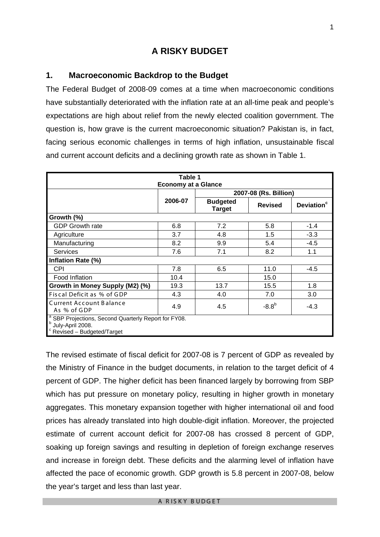# **A RISKY BUDGET**

#### **1. Macroeconomic Backdrop to the Budget**

The Federal Budget of 2008-09 comes at a time when macroeconomic conditions have substantially deteriorated with the inflation rate at an all-time peak and people's expectations are high about relief from the newly elected coalition government. The question is, how grave is the current macroeconomic situation? Pakistan is, in fact, facing serious economic challenges in terms of high inflation, unsustainable fiscal and current account deficits and a declining growth rate as shown in Table 1.

| Table 1                                                                                                          |                            |                                  |                |                        |
|------------------------------------------------------------------------------------------------------------------|----------------------------|----------------------------------|----------------|------------------------|
|                                                                                                                  | <b>Economy at a Glance</b> |                                  |                |                        |
|                                                                                                                  |                            | 2007-08 (Rs. Billion)            |                |                        |
|                                                                                                                  | 2006-07                    | <b>Budgeted</b><br><b>Target</b> | <b>Revised</b> | Deviation <sup>c</sup> |
| Growth (%)                                                                                                       |                            |                                  |                |                        |
| <b>GDP Growth rate</b>                                                                                           | 6.8                        | 7.2                              | 5.8            | $-1.4$                 |
| Agriculture                                                                                                      | 3.7                        | 4.8                              | 1.5            | $-3.3$                 |
| Manufacturing                                                                                                    | 8.2                        | 9.9                              | 5.4            | $-4.5$                 |
| <b>Services</b>                                                                                                  | 7.6                        | 7.1                              | 8.2            | 1.1                    |
| Inflation Rate (%)                                                                                               |                            |                                  |                |                        |
| <b>CPI</b>                                                                                                       | 7.8                        | 6.5                              | 11.0           | -4.5                   |
| Food Inflation                                                                                                   | 10.4                       |                                  | 15.0           |                        |
| Growth in Money Supply (M2) (%)                                                                                  | 19.3                       | 13.7                             | 15.5           | 1.8                    |
| Fiscal Deficit as % of GDP                                                                                       | 4.3                        | 4.0                              | 7.0            | 3.0                    |
| <b>Current Account Balance</b><br>As % of GDP                                                                    | 4.9                        | 4.5                              | $-8.8^{b}$     | $-4.3$                 |
| <sup>a</sup> SBP Projections, Second Quarterly Report for FY08.<br>July-April 2008.<br>Revised - Budgeted/Target |                            |                                  |                |                        |

The revised estimate of fiscal deficit for 2007-08 is 7 percent of GDP as revealed by the Ministry of Finance in the budget documents, in relation to the target deficit of 4 percent of GDP. The higher deficit has been financed largely by borrowing from SBP which has put pressure on monetary policy, resulting in higher growth in monetary aggregates. This monetary expansion together with higher international oil and food prices has already translated into high double-digit inflation. Moreover, the projected estimate of current account deficit for 2007-08 has crossed 8 percent of GDP, soaking up foreign savings and resulting in depletion of foreign exchange reserves and increase in foreign debt. These deficits and the alarming level of inflation have affected the pace of economic growth. GDP growth is 5.8 percent in 2007-08, below the year's target and less than last year.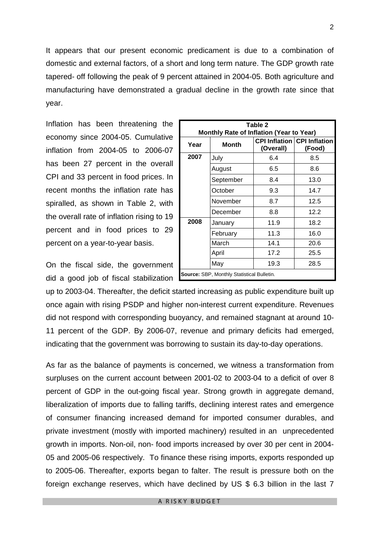It appears that our present economic predicament is due to a combination of domestic and external factors, of a short and long term nature. The GDP growth rate tapered- off following the peak of 9 percent attained in 2004-05. Both agriculture and manufacturing have demonstrated a gradual decline in the growth rate since that year.

Inflation has been threatening the economy since 2004-05. Cumulative inflation from 2004-05 to 2006-07 has been 27 percent in the overall CPI and 33 percent in food prices. In recent months the inflation rate has spiralled, as shown in Table 2, with the overall rate of inflation rising to 19 percent and in food prices to 29 percent on a year-to-year basis.

On the fiscal side, the government did a good job of fiscal stabilization

| Table 2                                           |           |           |                                              |  |  |
|---------------------------------------------------|-----------|-----------|----------------------------------------------|--|--|
| Monthly Rate of Inflation (Year to Year)          |           |           |                                              |  |  |
| Year                                              | Month     | (Overall) | <b>CPI Inflation CPI Inflation</b><br>(Food) |  |  |
| 2007                                              | July      | 6.4       | 8.5                                          |  |  |
|                                                   | August    | 6.5       | 8.6                                          |  |  |
|                                                   | September | 8.4       | 13.0                                         |  |  |
|                                                   | October   | 9.3       | 14.7                                         |  |  |
|                                                   | November  | 8.7       | 12.5                                         |  |  |
|                                                   | December  | 8.8       | 12.2                                         |  |  |
| 2008                                              | January   | 11.9      | 18.2                                         |  |  |
|                                                   | February  | 11.3      | 16.0                                         |  |  |
|                                                   | March     | 14.1      | 20.6                                         |  |  |
|                                                   | April     | 17.2      | 25.5                                         |  |  |
|                                                   | May       | 19.3      | 28.5                                         |  |  |
| <b>Source: SBP, Monthly Statistical Bulletin.</b> |           |           |                                              |  |  |

up to 2003-04. Thereafter, the deficit started increasing as public expenditure built up once again with rising PSDP and higher non-interest current expenditure. Revenues did not respond with corresponding buoyancy, and remained stagnant at around 10- 11 percent of the GDP. By 2006-07, revenue and primary deficits had emerged, indicating that the government was borrowing to sustain its day-to-day operations.

As far as the balance of payments is concerned, we witness a transformation from surpluses on the current account between 2001-02 to 2003-04 to a deficit of over 8 percent of GDP in the out-going fiscal year. Strong growth in aggregate demand, liberalization of imports due to falling tariffs, declining interest rates and emergence of consumer financing increased demand for imported consumer durables, and private investment (mostly with imported machinery) resulted in an unprecedented growth in imports. Non-oil, non- food imports increased by over 30 per cent in 2004- 05 and 2005-06 respectively. To finance these rising imports, exports responded up to 2005-06. Thereafter, exports began to falter. The result is pressure both on the foreign exchange reserves, which have declined by US \$ 6.3 billion in the last 7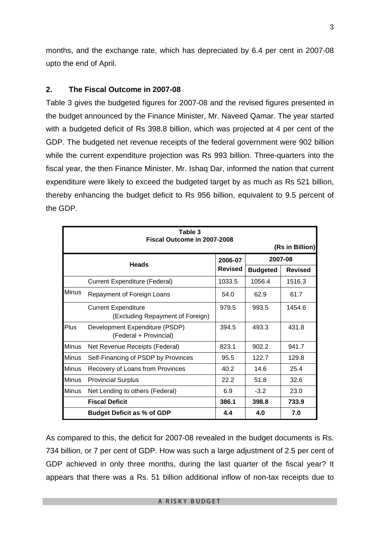months, and the exchange rate, which has depreciated by 6.4 per cent in 2007-08 upto the end of April.

#### **2. The Fiscal Outcome in 2007-08**

Table 3 gives the budgeted figures for 2007-08 and the revised figures presented in the budget announced by the Finance Minister, Mr. Naveed Qamar. The year started with a budgeted deficit of Rs 398.8 billion, which was projected at 4 per cent of the GDP. The budgeted net revenue receipts of the federal government were 902 billion while the current expenditure projection was Rs 993 billion. Three-quarters into the fiscal year, the then Finance Minister, Mr. Ishaq Dar, informed the nation that current expenditure were likely to exceed the budgeted target by as much as Rs 521 billion, thereby enhancing the budget deficit to Rs 956 billion, equivalent to 9.5 percent of the GDP.

| Table 3<br>Fiscal Outcome in 2007-2008 |                                                                |        |                 |                 |
|----------------------------------------|----------------------------------------------------------------|--------|-----------------|-----------------|
|                                        |                                                                |        |                 | (Rs in Billion) |
|                                        | <b>Heads</b>                                                   |        | 2007-08         |                 |
|                                        |                                                                |        | <b>Budgeted</b> | <b>Revised</b>  |
|                                        | Current Expenditure (Federal)                                  | 1033.5 | 1056.4          | 1516.3          |
| <b>Minus</b>                           | Repayment of Foreign Loans                                     | 54.0   | 62.9            | 61.7            |
|                                        | <b>Current Expenditure</b><br>(Excluding Repayment of Foreign) | 979.5  | 993.5           | 1454.6          |
| Plus                                   | Development Expenditure (PSDP)<br>(Federal + Provincial)       | 394.5  | 493.3           | 431.8           |
| <b>Minus</b>                           | Net Revenue Receipts (Federal)                                 | 823.1  | 902.2           | 941.7           |
| <b>Minus</b>                           | Self-Financing of PSDP by Provinces                            | 95.5   | 122.7           | 129.8           |
| <b>Minus</b>                           | Recovery of Loans from Provinces                               | 40.2   | 14.6            | 25.4            |
| <b>Minus</b>                           | <b>Provincial Surplus</b>                                      | 22.2   | 51.8            | 32.6            |
| <b>Minus</b>                           | Net Lending to others (Federal)                                | 6.9    | $-3.2$          | 23.0            |
|                                        | <b>Fiscal Deficit</b>                                          | 386.1  | 398.8           | 733.9           |
|                                        | <b>Budget Deficit as % of GDP</b>                              | 4.4    | 4.0             | 7.0             |

As compared to this, the deficit for 2007-08 revealed in the budget documents is Rs. 734 billion, or 7 per cent of GDP. How was such a large adjustment of 2.5 per cent of GDP achieved in only three months, during the last quarter of the fiscal year? It appears that there was a Rs. 51 billion additional inflow of non-tax receipts due to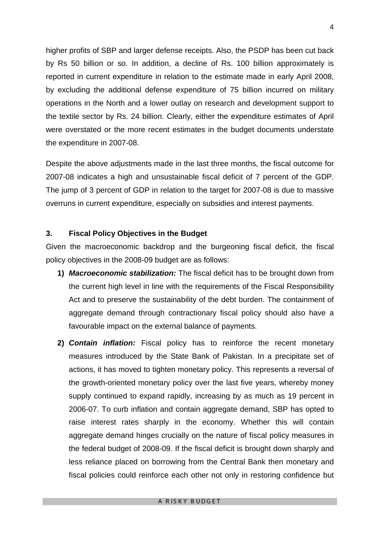higher profits of SBP and larger defense receipts. Also, the PSDP has been cut back by Rs 50 billion or so. In addition, a decline of Rs. 100 billion approximately is reported in current expenditure in relation to the estimate made in early April 2008, by excluding the additional defense expenditure of 75 billion incurred on military operations in the North and a lower outlay on research and development support to the textile sector by Rs. 24 billion. Clearly, either the expenditure estimates of April were overstated or the more recent estimates in the budget documents understate the expenditure in 2007-08.

Despite the above adjustments made in the last three months, the fiscal outcome for 2007-08 indicates a high and unsustainable fiscal deficit of 7 percent of the GDP. The jump of 3 percent of GDP in relation to the target for 2007-08 is due to massive overruns in current expenditure, especially on subsidies and interest payments.

#### **3. Fiscal Policy Objectives in the Budget**

Given the macroeconomic backdrop and the burgeoning fiscal deficit, the fiscal policy objectives in the 2008-09 budget are as follows:

- **1)** *Macroeconomic stabilization:* The fiscal deficit has to be brought down from the current high level in line with the requirements of the Fiscal Responsibility Act and to preserve the sustainability of the debt burden. The containment of aggregate demand through contractionary fiscal policy should also have a favourable impact on the external balance of payments.
- **2)** *Contain inflation:* Fiscal policy has to reinforce the recent monetary measures introduced by the State Bank of Pakistan. In a precipitate set of actions, it has moved to tighten monetary policy. This represents a reversal of the growth-oriented monetary policy over the last five years, whereby money supply continued to expand rapidly, increasing by as much as 19 percent in 2006-07. To curb inflation and contain aggregate demand, SBP has opted to raise interest rates sharply in the economy. Whether this will contain aggregate demand hinges crucially on the nature of fiscal policy measures in the federal budget of 2008-09. If the fiscal deficit is brought down sharply and less reliance placed on borrowing from the Central Bank then monetary and fiscal policies could reinforce each other not only in restoring confidence but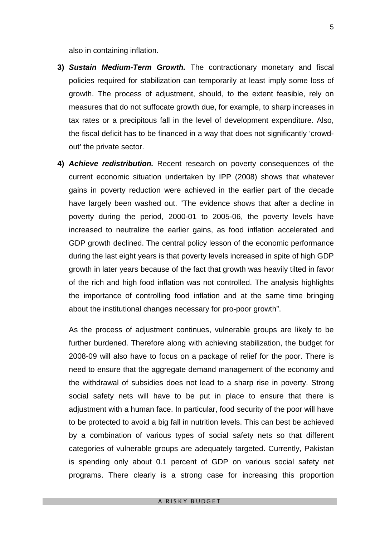also in containing inflation.

- **3)** *Sustain Medium-Term Growth.* The contractionary monetary and fiscal policies required for stabilization can temporarily at least imply some loss of growth. The process of adjustment, should, to the extent feasible, rely on measures that do not suffocate growth due, for example, to sharp increases in tax rates or a precipitous fall in the level of development expenditure. Also, the fiscal deficit has to be financed in a way that does not significantly 'crowdout' the private sector.
- **4)** *Achieve redistribution.* Recent research on poverty consequences of the current economic situation undertaken by IPP (2008) shows that whatever gains in poverty reduction were achieved in the earlier part of the decade have largely been washed out. "The evidence shows that after a decline in poverty during the period, 2000-01 to 2005-06, the poverty levels have increased to neutralize the earlier gains, as food inflation accelerated and GDP growth declined. The central policy lesson of the economic performance during the last eight years is that poverty levels increased in spite of high GDP growth in later years because of the fact that growth was heavily tilted in favor of the rich and high food inflation was not controlled. The analysis highlights the importance of controlling food inflation and at the same time bringing about the institutional changes necessary for pro-poor growth".

As the process of adjustment continues, vulnerable groups are likely to be further burdened. Therefore along with achieving stabilization, the budget for 2008-09 will also have to focus on a package of relief for the poor. There is need to ensure that the aggregate demand management of the economy and the withdrawal of subsidies does not lead to a sharp rise in poverty. Strong social safety nets will have to be put in place to ensure that there is adjustment with a human face. In particular, food security of the poor will have to be protected to avoid a big fall in nutrition levels. This can best be achieved by a combination of various types of social safety nets so that different categories of vulnerable groups are adequately targeted. Currently, Pakistan is spending only about 0.1 percent of GDP on various social safety net programs. There clearly is a strong case for increasing this proportion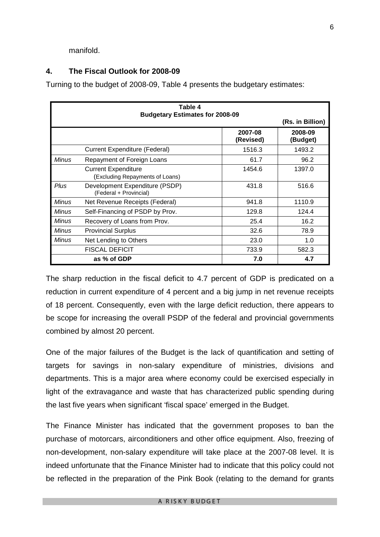manifold.

#### **4. The Fiscal Outlook for 2008-09**

Turning to the budget of 2008-09, Table 4 presents the budgetary estimates:

| Table 4<br><b>Budgetary Estimates for 2008-09</b> |                                                               |                      |                     |
|---------------------------------------------------|---------------------------------------------------------------|----------------------|---------------------|
|                                                   |                                                               |                      | (Rs. in Billion)    |
|                                                   |                                                               | 2007-08<br>(Revised) | 2008-09<br>(Budget) |
|                                                   | Current Expenditure (Federal)                                 | 1516.3               | 1493.2              |
| Minus                                             | Repayment of Foreign Loans                                    | 61.7                 | 96.2                |
|                                                   | <b>Current Expenditure</b><br>(Excluding Repayments of Loans) | 1454.6               | 1397.0              |
| Plus                                              | Development Expenditure (PSDP)<br>(Federal + Provincial)      | 431.8                | 516.6               |
| <b>Minus</b>                                      | Net Revenue Receipts (Federal)                                | 941.8                | 1110.9              |
| <b>Minus</b>                                      | Self-Financing of PSDP by Prov.                               | 129.8                | 124.4               |
| <b>Minus</b>                                      | Recovery of Loans from Prov.                                  | 25.4                 | 16.2                |
| Minus                                             | <b>Provincial Surplus</b>                                     | 32.6                 | 78.9                |
| <b>Minus</b>                                      | Net Lending to Others                                         | 23.0                 | 1.0                 |
|                                                   | <b>FISCAL DEFICIT</b>                                         | 733.9                | 582.3               |
|                                                   | as % of GDP                                                   | 7.0                  | 4.7                 |

The sharp reduction in the fiscal deficit to 4.7 percent of GDP is predicated on a reduction in current expenditure of 4 percent and a big jump in net revenue receipts of 18 percent. Consequently, even with the large deficit reduction, there appears to be scope for increasing the overall PSDP of the federal and provincial governments combined by almost 20 percent.

One of the major failures of the Budget is the lack of quantification and setting of targets for savings in non-salary expenditure of ministries, divisions and departments. This is a major area where economy could be exercised especially in light of the extravagance and waste that has characterized public spending during the last five years when significant 'fiscal space' emerged in the Budget.

The Finance Minister has indicated that the government proposes to ban the purchase of motorcars, airconditioners and other office equipment. Also, freezing of non-development, non-salary expenditure will take place at the 2007-08 level. It is indeed unfortunate that the Finance Minister had to indicate that this policy could not be reflected in the preparation of the Pink Book (relating to the demand for grants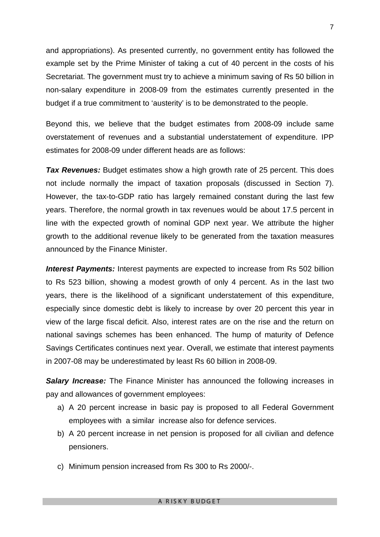and appropriations). As presented currently, no government entity has followed the example set by the Prime Minister of taking a cut of 40 percent in the costs of his Secretariat. The government must try to achieve a minimum saving of Rs 50 billion in non-salary expenditure in 2008-09 from the estimates currently presented in the budget if a true commitment to 'austerity' is to be demonstrated to the people.

Beyond this, we believe that the budget estimates from 2008-09 include same overstatement of revenues and a substantial understatement of expenditure. IPP estimates for 2008-09 under different heads are as follows:

**Tax Revenues:** Budget estimates show a high growth rate of 25 percent. This does not include normally the impact of taxation proposals (discussed in Section 7). However, the tax-to-GDP ratio has largely remained constant during the last few years. Therefore, the normal growth in tax revenues would be about 17.5 percent in line with the expected growth of nominal GDP next year. We attribute the higher growth to the additional revenue likely to be generated from the taxation measures announced by the Finance Minister.

**Interest Payments:** Interest payments are expected to increase from Rs 502 billion to Rs 523 billion, showing a modest growth of only 4 percent. As in the last two years, there is the likelihood of a significant understatement of this expenditure, especially since domestic debt is likely to increase by over 20 percent this year in view of the large fiscal deficit. Also, interest rates are on the rise and the return on national savings schemes has been enhanced. The hump of maturity of Defence Savings Certificates continues next year. Overall, we estimate that interest payments in 2007-08 may be underestimated by least Rs 60 billion in 2008-09.

*Salary Increase:* The Finance Minister has announced the following increases in pay and allowances of government employees:

- a) A 20 percent increase in basic pay is proposed to all Federal Government employees with a similar increase also for defence services.
- b) A 20 percent increase in net pension is proposed for all civilian and defence pensioners.
- c) Minimum pension increased from Rs 300 to Rs 2000/-.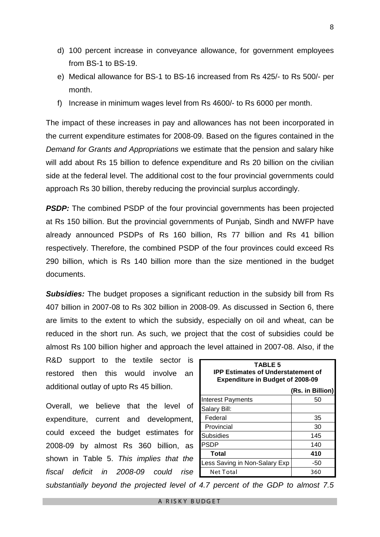- d) 100 percent increase in conveyance allowance, for government employees from BS-1 to BS-19.
- e) Medical allowance for BS-1 to BS-16 increased from Rs 425/- to Rs 500/- per month.
- f) Increase in minimum wages level from Rs 4600/- to Rs 6000 per month.

The impact of these increases in pay and allowances has not been incorporated in the current expenditure estimates for 2008-09. Based on the figures contained in the *Demand for Grants and Appropriations* we estimate that the pension and salary hike will add about Rs 15 billion to defence expenditure and Rs 20 billion on the civilian side at the federal level. The additional cost to the four provincial governments could approach Rs 30 billion, thereby reducing the provincial surplus accordingly.

**PSDP:** The combined PSDP of the four provincial governments has been projected at Rs 150 billion. But the provincial governments of Punjab, Sindh and NWFP have already announced PSDPs of Rs 160 billion, Rs 77 billion and Rs 41 billion respectively. Therefore, the combined PSDP of the four provinces could exceed Rs 290 billion, which is Rs 140 billion more than the size mentioned in the budget documents.

**Subsidies:** The budget proposes a significant reduction in the subsidy bill from Rs 407 billion in 2007-08 to Rs 302 billion in 2008-09. As discussed in Section 6, there are limits to the extent to which the subsidy, especially on oil and wheat, can be reduced in the short run. As such, we project that the cost of subsidies could be almost Rs 100 billion higher and approach the level attained in 2007-08. Also, if the

R&D support to the textile sector is restored then this would involve an additional outlay of upto Rs 45 billion.

Overall, we believe that the level of expenditure, current and development, could exceed the budget estimates for 2008-09 by almost Rs 360 billion, as shown in Table 5. *This implies that the fiscal deficit in 2008-09 could rise* 

| <b>TABLE 5</b><br><b>IPP Estimates of Understatement of</b><br><b>Expenditure in Budget of 2008-09</b> |                  |  |  |
|--------------------------------------------------------------------------------------------------------|------------------|--|--|
|                                                                                                        | (Rs. in Billion) |  |  |
| Interest Payments                                                                                      | 50               |  |  |
| Salary Bill:                                                                                           |                  |  |  |
| Federal                                                                                                | 35               |  |  |
| Provincial                                                                                             | 30               |  |  |
| Subsidies                                                                                              | 145              |  |  |
| <b>PSDP</b>                                                                                            | 140              |  |  |
| Total                                                                                                  | 410              |  |  |
| Less Saving in Non-Salary Exp                                                                          | -50              |  |  |
| Net Total                                                                                              | 360              |  |  |

*substantially beyond the projected level of 4.7 percent of the GDP to almost 7.5*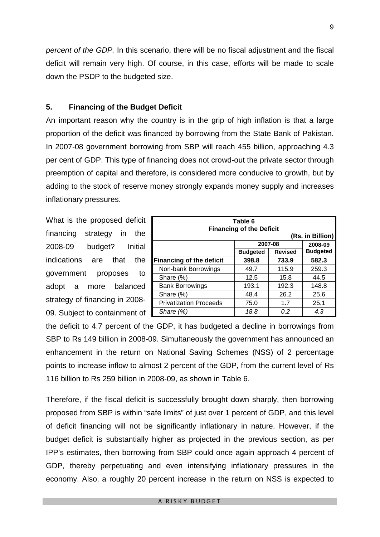*percent of the GDP.* In this scenario, there will be no fiscal adjustment and the fiscal deficit will remain very high. Of course, in this case, efforts will be made to scale down the PSDP to the budgeted size.

#### **5. Financing of the Budget Deficit**

An important reason why the country is in the grip of high inflation is that a large proportion of the deficit was financed by borrowing from the State Bank of Pakistan. In 2007-08 government borrowing from SBP will reach 455 billion, approaching 4.3 per cent of GDP. This type of financing does not crowd-out the private sector through preemption of capital and therefore, is considered more conducive to growth, but by adding to the stock of reserve money strongly expands money supply and increases inflationary pressures.

What is the proposed deficit financing strategy in the 2008-09 budget? Initial indications are that the government proposes to adopt a more balanced strategy of financing in 2008- 09. Subject to containment of

| Table 6<br><b>Financing of the Deficit</b><br>(Rs. in Billion) |       |       |                 |  |
|----------------------------------------------------------------|-------|-------|-----------------|--|
| 2007-08                                                        |       |       | 2008-09         |  |
| <b>Revised</b><br><b>Budgeted</b>                              |       |       | <b>Budgeted</b> |  |
| <b>Financing of the deficit</b>                                | 398.8 | 733.9 | 582.3           |  |
| Non-bank Borrowings                                            | 49.7  | 115.9 | 259.3           |  |
| Share (%)                                                      | 12.5  | 15.8  | 44.5            |  |
| <b>Bank Borrowings</b>                                         | 193.1 | 192.3 | 148.8           |  |
| Share (%)                                                      | 48.4  | 26.2  | 25.6            |  |
| <b>Privatization Proceeds</b>                                  | 75.0  | 1.7   | 25.1            |  |
| Share (%)                                                      | 18.8  | 0.2   | 4.3             |  |

the deficit to 4.7 percent of the GDP, it has budgeted a decline in borrowings from SBP to Rs 149 billion in 2008-09. Simultaneously the government has announced an enhancement in the return on National Saving Schemes (NSS) of 2 percentage points to increase inflow to almost 2 percent of the GDP, from the current level of Rs 116 billion to Rs 259 billion in 2008-09, as shown in Table 6.

Therefore, if the fiscal deficit is successfully brought down sharply, then borrowing proposed from SBP is within "safe limits" of just over 1 percent of GDP, and this level of deficit financing will not be significantly inflationary in nature. However, if the budget deficit is substantially higher as projected in the previous section, as per IPP's estimates, then borrowing from SBP could once again approach 4 percent of GDP, thereby perpetuating and even intensifying inflationary pressures in the economy. Also, a roughly 20 percent increase in the return on NSS is expected to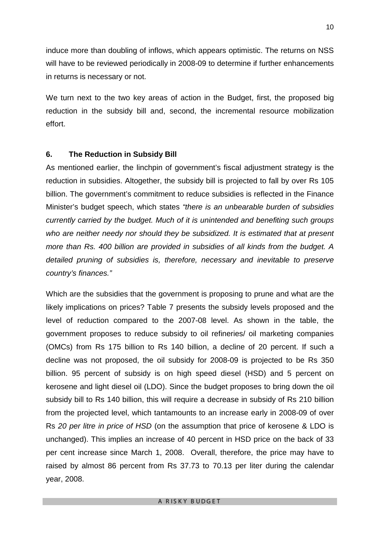induce more than doubling of inflows, which appears optimistic. The returns on NSS will have to be reviewed periodically in 2008-09 to determine if further enhancements in returns is necessary or not.

We turn next to the two key areas of action in the Budget, first, the proposed big reduction in the subsidy bill and, second, the incremental resource mobilization effort.

#### **6. The Reduction in Subsidy Bill**

As mentioned earlier, the linchpin of government's fiscal adjustment strategy is the reduction in subsidies. Altogether, the subsidy bill is projected to fall by over Rs 105 billion. The government's commitment to reduce subsidies is reflected in the Finance Minister's budget speech, which states *"there is an unbearable burden of subsidies currently carried by the budget. Much of it is unintended and benefiting such groups who are neither needy nor should they be subsidized. It is estimated that at present more than Rs. 400 billion are provided in subsidies of all kinds from the budget. A detailed pruning of subsidies is, therefore, necessary and inevitable to preserve country's finances."*

Which are the subsidies that the government is proposing to prune and what are the likely implications on prices? Table 7 presents the subsidy levels proposed and the level of reduction compared to the 2007-08 level. As shown in the table, the government proposes to reduce subsidy to oil refineries/ oil marketing companies (OMCs) from Rs 175 billion to Rs 140 billion, a decline of 20 percent. If such a decline was not proposed, the oil subsidy for 2008-09 is projected to be Rs 350 billion. 95 percent of subsidy is on high speed diesel (HSD) and 5 percent on kerosene and light diesel oil (LDO). Since the budget proposes to bring down the oil subsidy bill to Rs 140 billion, this will require a decrease in subsidy of Rs 210 billion from the projected level, which tantamounts to an increase early in 2008-09 of over Rs *20 per litre in price of HSD* (on the assumption that price of kerosene & LDO is unchanged). This implies an increase of 40 percent in HSD price on the back of 33 per cent increase since March 1, 2008. Overall, therefore, the price may have to raised by almost 86 percent from Rs 37.73 to 70.13 per liter during the calendar year, 2008.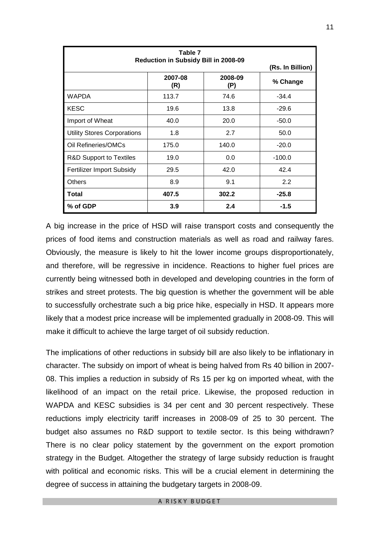| Table 7<br>Reduction in Subsidy Bill in 2008-09 |                |                |          |  |
|-------------------------------------------------|----------------|----------------|----------|--|
| (Rs. In Billion)                                |                |                |          |  |
|                                                 | 2007-08<br>(R) | 2008-09<br>(P) | % Change |  |
| <b>WAPDA</b>                                    | 113.7          | 74.6           | $-34.4$  |  |
| <b>KESC</b>                                     | 19.6           | 13.8           | $-29.6$  |  |
| Import of Wheat                                 | 40.0           | 20.0           | $-50.0$  |  |
| <b>Utility Stores Corporations</b>              | 1.8            | 2.7            | 50.0     |  |
| Oil Refineries/OMCs                             | 175.0          | 140.0          | $-20.0$  |  |
| <b>R&amp;D Support to Textiles</b>              | 19.0           | 0.0            | $-100.0$ |  |
| <b>Fertilizer Import Subsidy</b>                | 29.5           | 42.0           | 42.4     |  |
| Others                                          | 8.9            | 9.1            | 2.2      |  |
| <b>Total</b>                                    | 407.5          | 302.2          | $-25.8$  |  |
| % of GDP                                        | 3.9            | 2.4            | $-1.5$   |  |

A big increase in the price of HSD will raise transport costs and consequently the prices of food items and construction materials as well as road and railway fares. Obviously, the measure is likely to hit the lower income groups disproportionately, and therefore, will be regressive in incidence. Reactions to higher fuel prices are currently being witnessed both in developed and developing countries in the form of strikes and street protests. The big question is whether the government will be able to successfully orchestrate such a big price hike, especially in HSD. It appears more likely that a modest price increase will be implemented gradually in 2008-09. This will make it difficult to achieve the large target of oil subsidy reduction.

The implications of other reductions in subsidy bill are also likely to be inflationary in character. The subsidy on import of wheat is being halved from Rs 40 billion in 2007- 08. This implies a reduction in subsidy of Rs 15 per kg on imported wheat, with the likelihood of an impact on the retail price. Likewise, the proposed reduction in WAPDA and KESC subsidies is 34 per cent and 30 percent respectively. These reductions imply electricity tariff increases in 2008-09 of 25 to 30 percent. The budget also assumes no R&D support to textile sector. Is this being withdrawn? There is no clear policy statement by the government on the export promotion strategy in the Budget. Altogether the strategy of large subsidy reduction is fraught with political and economic risks. This will be a crucial element in determining the degree of success in attaining the budgetary targets in 2008-09.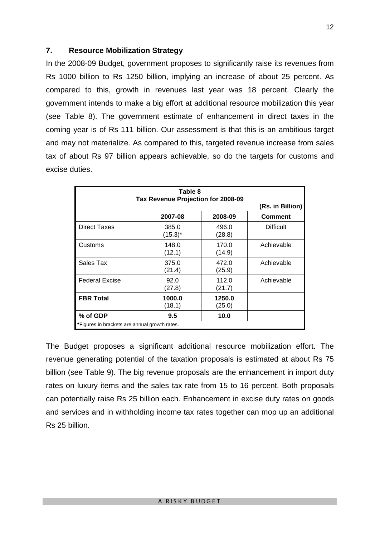#### **7. Resource Mobilization Strategy**

In the 2008-09 Budget, government proposes to significantly raise its revenues from Rs 1000 billion to Rs 1250 billion, implying an increase of about 25 percent. As compared to this, growth in revenues last year was 18 percent. Clearly the government intends to make a big effort at additional resource mobilization this year (see Table 8). The government estimate of enhancement in direct taxes in the coming year is of Rs 111 billion. Our assessment is that this is an ambitious target and may not materialize. As compared to this, targeted revenue increase from sales tax of about Rs 97 billion appears achievable, so do the targets for customs and excise duties.

| Tax Revenue Projection for 2008-09            | (Rs. in Billion)    |                  |                  |  |
|-----------------------------------------------|---------------------|------------------|------------------|--|
|                                               | 2007-08             | 2008-09          | Comment          |  |
| <b>Direct Taxes</b>                           | 385.0<br>$(15.3)^*$ | 496.0<br>(28.8)  | <b>Difficult</b> |  |
| Customs                                       | 148.0<br>(12.1)     | 170.0<br>(14.9)  | Achievable       |  |
| Sales Tax                                     | 375.0<br>(21.4)     | 472.0<br>(25.9)  | Achievable       |  |
| <b>Federal Excise</b>                         | 92.0<br>(27.8)      | 112.0<br>(21.7)  | Achievable       |  |
| <b>FBR Total</b>                              | 1000.0<br>(18.1)    | 1250.0<br>(25.0) |                  |  |
| % of GDP                                      | 9.5                 | 10.0             |                  |  |
| *Figures in brackets are annual growth rates. |                     |                  |                  |  |

The Budget proposes a significant additional resource mobilization effort. The revenue generating potential of the taxation proposals is estimated at about Rs 75 billion (see Table 9). The big revenue proposals are the enhancement in import duty rates on luxury items and the sales tax rate from 15 to 16 percent. Both proposals can potentially raise Rs 25 billion each. Enhancement in excise duty rates on goods and services and in withholding income tax rates together can mop up an additional Rs 25 billion.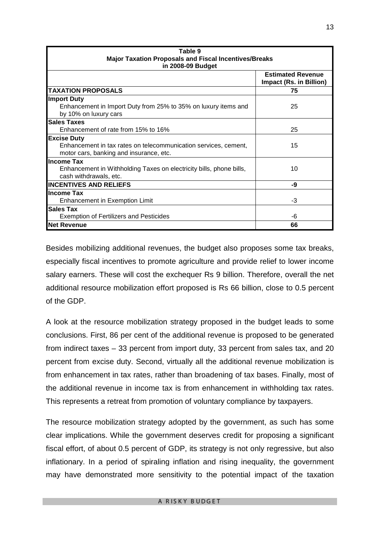| Table 9                                                                                       |                                                     |  |  |
|-----------------------------------------------------------------------------------------------|-----------------------------------------------------|--|--|
| <b>Major Taxation Proposals and Fiscal Incentives/Breaks</b>                                  |                                                     |  |  |
| in 2008-09 Budget                                                                             |                                                     |  |  |
|                                                                                               | <b>Estimated Revenue</b><br>Impact (Rs. in Billion) |  |  |
| <b>TAXATION PROPOSALS</b>                                                                     | 75                                                  |  |  |
| Import Duty                                                                                   |                                                     |  |  |
| Enhancement in Import Duty from 25% to 35% on luxury items and<br>by 10% on luxury cars       | 25                                                  |  |  |
| <b>Sales Taxes</b>                                                                            |                                                     |  |  |
| Enhancement of rate from 15% to 16%                                                           | 25                                                  |  |  |
| <b>Excise Duty</b>                                                                            |                                                     |  |  |
| Enhancement in tax rates on telecommunication services, cement,                               | 15                                                  |  |  |
| motor cars, banking and insurance, etc.                                                       |                                                     |  |  |
| <b>Income Tax</b>                                                                             |                                                     |  |  |
| Enhancement in Withholding Taxes on electricity bills, phone bills,<br>cash withdrawals, etc. | 10                                                  |  |  |
| <b>INCENTIVES AND RELIEFS</b>                                                                 | -9                                                  |  |  |
| <b>Income Tax</b>                                                                             |                                                     |  |  |
| <b>Enhancement in Exemption Limit</b>                                                         | -3                                                  |  |  |
| <b>Sales Tax</b>                                                                              |                                                     |  |  |
| <b>Exemption of Fertilizers and Pesticides</b>                                                | -6                                                  |  |  |
| <b>Net Revenue</b>                                                                            | 66                                                  |  |  |

Besides mobilizing additional revenues, the budget also proposes some tax breaks, especially fiscal incentives to promote agriculture and provide relief to lower income salary earners. These will cost the exchequer Rs 9 billion. Therefore, overall the net additional resource mobilization effort proposed is Rs 66 billion, close to 0.5 percent of the GDP.

A look at the resource mobilization strategy proposed in the budget leads to some conclusions. First, 86 per cent of the additional revenue is proposed to be generated from indirect taxes – 33 percent from import duty, 33 percent from sales tax, and 20 percent from excise duty. Second, virtually all the additional revenue mobilization is from enhancement in tax rates, rather than broadening of tax bases. Finally, most of the additional revenue in income tax is from enhancement in withholding tax rates. This represents a retreat from promotion of voluntary compliance by taxpayers.

The resource mobilization strategy adopted by the government, as such has some clear implications. While the government deserves credit for proposing a significant fiscal effort, of about 0.5 percent of GDP, its strategy is not only regressive, but also inflationary. In a period of spiraling inflation and rising inequality, the government may have demonstrated more sensitivity to the potential impact of the taxation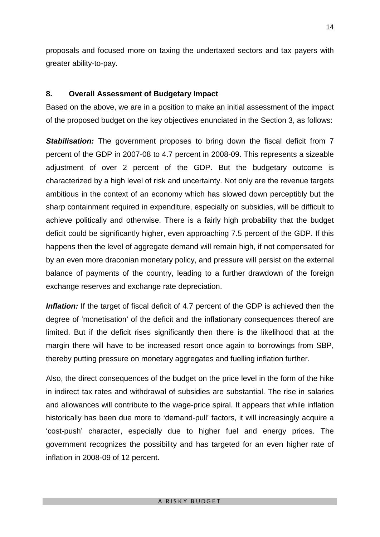proposals and focused more on taxing the undertaxed sectors and tax payers with greater ability-to-pay.

#### **8. Overall Assessment of Budgetary Impact**

Based on the above, we are in a position to make an initial assessment of the impact of the proposed budget on the key objectives enunciated in the Section 3, as follows:

**Stabilisation:** The government proposes to bring down the fiscal deficit from 7 percent of the GDP in 2007-08 to 4.7 percent in 2008-09. This represents a sizeable adjustment of over 2 percent of the GDP. But the budgetary outcome is characterized by a high level of risk and uncertainty. Not only are the revenue targets ambitious in the context of an economy which has slowed down perceptibly but the sharp containment required in expenditure, especially on subsidies, will be difficult to achieve politically and otherwise. There is a fairly high probability that the budget deficit could be significantly higher, even approaching 7.5 percent of the GDP. If this happens then the level of aggregate demand will remain high, if not compensated for by an even more draconian monetary policy, and pressure will persist on the external balance of payments of the country, leading to a further drawdown of the foreign exchange reserves and exchange rate depreciation.

**Inflation:** If the target of fiscal deficit of 4.7 percent of the GDP is achieved then the degree of 'monetisation' of the deficit and the inflationary consequences thereof are limited. But if the deficit rises significantly then there is the likelihood that at the margin there will have to be increased resort once again to borrowings from SBP, thereby putting pressure on monetary aggregates and fuelling inflation further.

Also, the direct consequences of the budget on the price level in the form of the hike in indirect tax rates and withdrawal of subsidies are substantial. The rise in salaries and allowances will contribute to the wage-price spiral. It appears that while inflation historically has been due more to 'demand-pull' factors, it will increasingly acquire a 'cost-push' character, especially due to higher fuel and energy prices. The government recognizes the possibility and has targeted for an even higher rate of inflation in 2008-09 of 12 percent.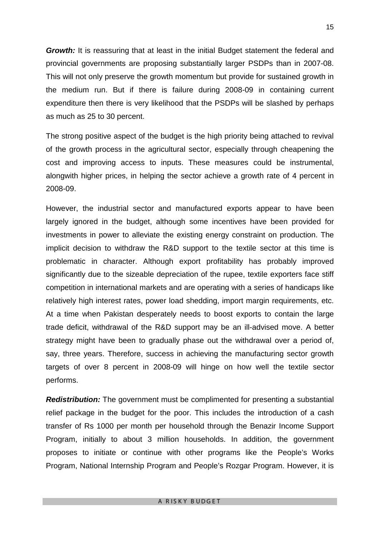*Growth:* It is reassuring that at least in the initial Budget statement the federal and provincial governments are proposing substantially larger PSDPs than in 2007-08. This will not only preserve the growth momentum but provide for sustained growth in the medium run. But if there is failure during 2008-09 in containing current expenditure then there is very likelihood that the PSDPs will be slashed by perhaps as much as 25 to 30 percent.

The strong positive aspect of the budget is the high priority being attached to revival of the growth process in the agricultural sector, especially through cheapening the cost and improving access to inputs. These measures could be instrumental, alongwith higher prices, in helping the sector achieve a growth rate of 4 percent in 2008-09.

However, the industrial sector and manufactured exports appear to have been largely ignored in the budget, although some incentives have been provided for investments in power to alleviate the existing energy constraint on production. The implicit decision to withdraw the R&D support to the textile sector at this time is problematic in character. Although export profitability has probably improved significantly due to the sizeable depreciation of the rupee, textile exporters face stiff competition in international markets and are operating with a series of handicaps like relatively high interest rates, power load shedding, import margin requirements, etc. At a time when Pakistan desperately needs to boost exports to contain the large trade deficit, withdrawal of the R&D support may be an ill-advised move. A better strategy might have been to gradually phase out the withdrawal over a period of, say, three years. Therefore, success in achieving the manufacturing sector growth targets of over 8 percent in 2008-09 will hinge on how well the textile sector performs.

*Redistribution:* The government must be complimented for presenting a substantial relief package in the budget for the poor. This includes the introduction of a cash transfer of Rs 1000 per month per household through the Benazir Income Support Program, initially to about 3 million households. In addition, the government proposes to initiate or continue with other programs like the People's Works Program, National Internship Program and People's Rozgar Program. However, it is